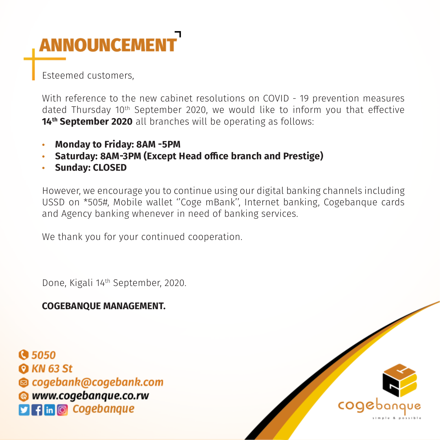## **ANNOUNCEMENT**

Esteemed customers,

With reference to the new cabinet resolutions on COVID - 19 prevention measures dated Thursday 10th September 2020, we would like to inform you that effective **14<sup>th</sup> September 2020** all branches will be operating as follows:

- **• Monday to Friday: 8AM -5PM**
- **• Saturday: 8AM-3PM (Except Head office branch and Prestige)**
- **• Sunday: CLOSED**

However, we encourage you to continue using our digital banking channels including USSD on \*505#, Mobile wallet ''Coge mBank'', Internet banking, Cogebanque cards and Agency banking whenever in need of banking services.

We thank you for your continued cooperation.

Done, Kigali 14th September, 2020.

## **COGEBANQUE MANAGEMENT.**

**Q 5050 Q KN 63 St** © cogebank@cogebank.com **WWW.cogebanque.co.rw**